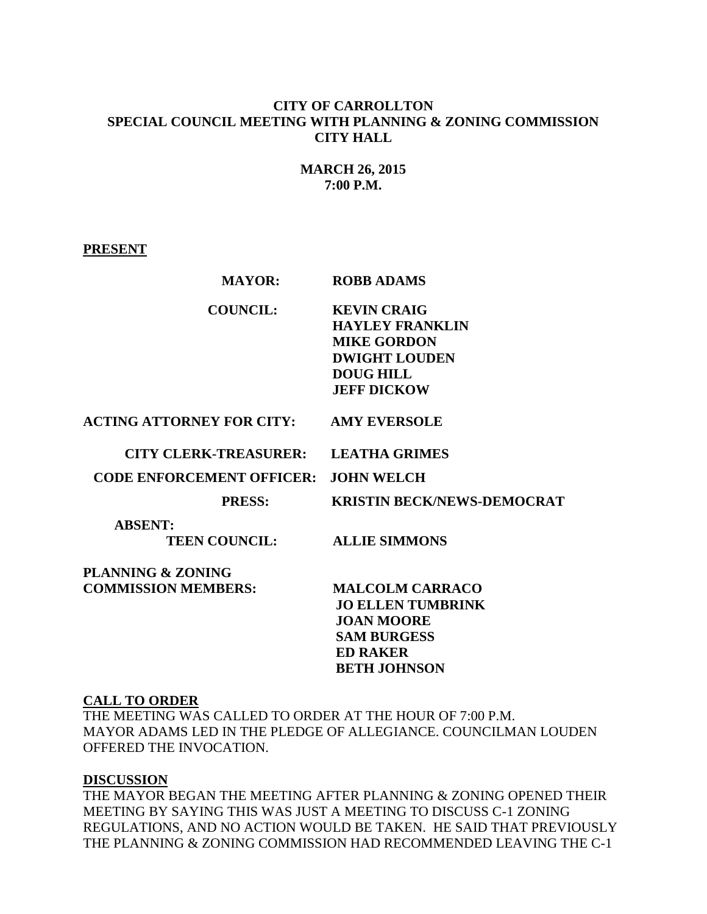## **CITY OF CARROLLTON SPECIAL COUNCIL MEETING WITH PLANNING & ZONING COMMISSION CITY HALL**

# **MARCH 26, 2015 7:00 P.M.**

### **PRESENT**

| <b>MAYOR:</b>                                   | <b>ROBB ADAMS</b>                                                                                                                       |
|-------------------------------------------------|-----------------------------------------------------------------------------------------------------------------------------------------|
| <b>COUNCIL:</b>                                 | <b>KEVIN CRAIG</b><br><b>HAYLEY FRANKLIN</b><br><b>MIKE GORDON</b><br><b>DWIGHT LOUDEN</b><br><b>DOUG HILL</b><br><b>JEFF DICKOW</b>    |
| <b>ACTING ATTORNEY FOR CITY: AMY EVERSOLE</b>   |                                                                                                                                         |
| <b>CITY CLERK-TREASURER:</b>                    | <b>LEATHA GRIMES</b>                                                                                                                    |
| <b>CODE ENFORCEMENT OFFICER:</b>                | <b>JOHN WELCH</b>                                                                                                                       |
| <b>PRESS:</b>                                   | <b>KRISTIN BECK/NEWS-DEMOCRAT</b>                                                                                                       |
| <b>ABSENT:</b><br><b>TEEN COUNCIL:</b>          | <b>ALLIE SIMMONS</b>                                                                                                                    |
| PLANNING & ZONING<br><b>COMMISSION MEMBERS:</b> | <b>MALCOLM CARRACO</b><br><b>JO ELLEN TUMBRINK</b><br><b>JOAN MOORE</b><br><b>SAM BURGESS</b><br><b>ED RAKER</b><br><b>BETH JOHNSON</b> |

#### **CALL TO ORDER**

THE MEETING WAS CALLED TO ORDER AT THE HOUR OF 7:00 P.M. MAYOR ADAMS LED IN THE PLEDGE OF ALLEGIANCE. COUNCILMAN LOUDEN OFFERED THE INVOCATION.

## **DISCUSSION**

THE MAYOR BEGAN THE MEETING AFTER PLANNING & ZONING OPENED THEIR MEETING BY SAYING THIS WAS JUST A MEETING TO DISCUSS C-1 ZONING REGULATIONS, AND NO ACTION WOULD BE TAKEN. HE SAID THAT PREVIOUSLY THE PLANNING & ZONING COMMISSION HAD RECOMMENDED LEAVING THE C-1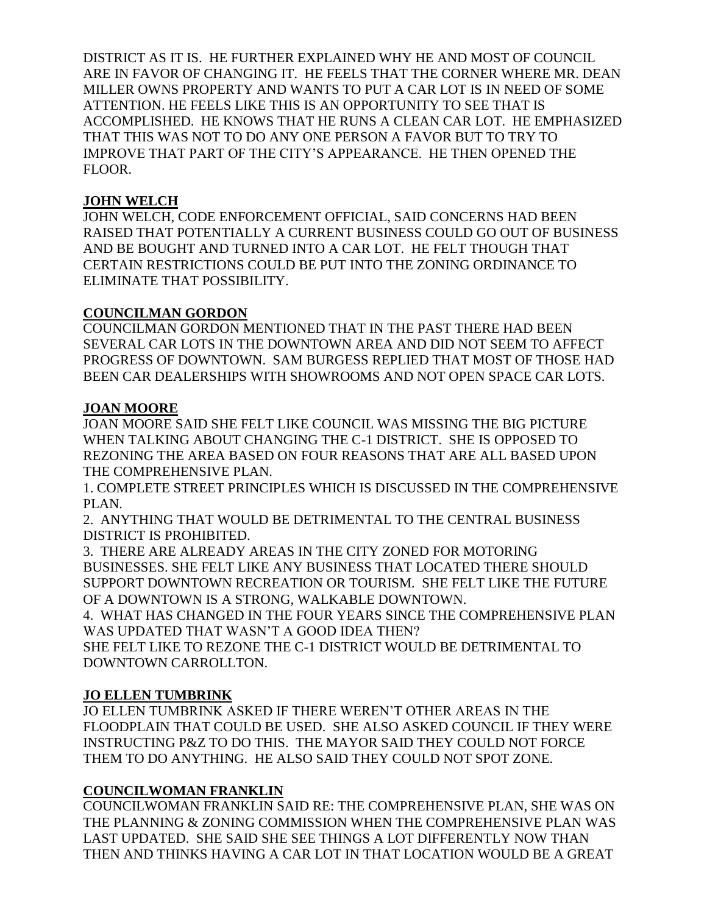DISTRICT AS IT IS. HE FURTHER EXPLAINED WHY HE AND MOST OF COUNCIL ARE IN FAVOR OF CHANGING IT. HE FEELS THAT THE CORNER WHERE MR. DEAN MILLER OWNS PROPERTY AND WANTS TO PUT A CAR LOT IS IN NEED OF SOME ATTENTION. HE FEELS LIKE THIS IS AN OPPORTUNITY TO SEE THAT IS ACCOMPLISHED. HE KNOWS THAT HE RUNS A CLEAN CAR LOT. HE EMPHASIZED THAT THIS WAS NOT TO DO ANY ONE PERSON A FAVOR BUT TO TRY TO IMPROVE THAT PART OF THE CITY'S APPEARANCE. HE THEN OPENED THE FLOOR.

# **JOHN WELCH**

JOHN WELCH, CODE ENFORCEMENT OFFICIAL, SAID CONCERNS HAD BEEN RAISED THAT POTENTIALLY A CURRENT BUSINESS COULD GO OUT OF BUSINESS AND BE BOUGHT AND TURNED INTO A CAR LOT. HE FELT THOUGH THAT CERTAIN RESTRICTIONS COULD BE PUT INTO THE ZONING ORDINANCE TO ELIMINATE THAT POSSIBILITY.

## **COUNCILMAN GORDON**

COUNCILMAN GORDON MENTIONED THAT IN THE PAST THERE HAD BEEN SEVERAL CAR LOTS IN THE DOWNTOWN AREA AND DID NOT SEEM TO AFFECT PROGRESS OF DOWNTOWN. SAM BURGESS REPLIED THAT MOST OF THOSE HAD BEEN CAR DEALERSHIPS WITH SHOWROOMS AND NOT OPEN SPACE CAR LOTS.

## **JOAN MOORE**

JOAN MOORE SAID SHE FELT LIKE COUNCIL WAS MISSING THE BIG PICTURE WHEN TALKING ABOUT CHANGING THE C-1 DISTRICT. SHE IS OPPOSED TO REZONING THE AREA BASED ON FOUR REASONS THAT ARE ALL BASED UPON THE COMPREHENSIVE PLAN.

1. COMPLETE STREET PRINCIPLES WHICH IS DISCUSSED IN THE COMPREHENSIVE PLAN.

2. ANYTHING THAT WOULD BE DETRIMENTAL TO THE CENTRAL BUSINESS DISTRICT IS PROHIBITED.

3. THERE ARE ALREADY AREAS IN THE CITY ZONED FOR MOTORING BUSINESSES. SHE FELT LIKE ANY BUSINESS THAT LOCATED THERE SHOULD SUPPORT DOWNTOWN RECREATION OR TOURISM. SHE FELT LIKE THE FUTURE OF A DOWNTOWN IS A STRONG, WALKABLE DOWNTOWN.

4. WHAT HAS CHANGED IN THE FOUR YEARS SINCE THE COMPREHENSIVE PLAN WAS UPDATED THAT WASN'T A GOOD IDEA THEN?

SHE FELT LIKE TO REZONE THE C-1 DISTRICT WOULD BE DETRIMENTAL TO DOWNTOWN CARROLLTON.

# **JO ELLEN TUMBRINK**

JO ELLEN TUMBRINK ASKED IF THERE WEREN'T OTHER AREAS IN THE FLOODPLAIN THAT COULD BE USED. SHE ALSO ASKED COUNCIL IF THEY WERE INSTRUCTING P&Z TO DO THIS. THE MAYOR SAID THEY COULD NOT FORCE THEM TO DO ANYTHING. HE ALSO SAID THEY COULD NOT SPOT ZONE.

# **COUNCILWOMAN FRANKLIN**

COUNCILWOMAN FRANKLIN SAID RE: THE COMPREHENSIVE PLAN, SHE WAS ON THE PLANNING & ZONING COMMISSION WHEN THE COMPREHENSIVE PLAN WAS LAST UPDATED. SHE SAID SHE SEE THINGS A LOT DIFFERENTLY NOW THAN THEN AND THINKS HAVING A CAR LOT IN THAT LOCATION WOULD BE A GREAT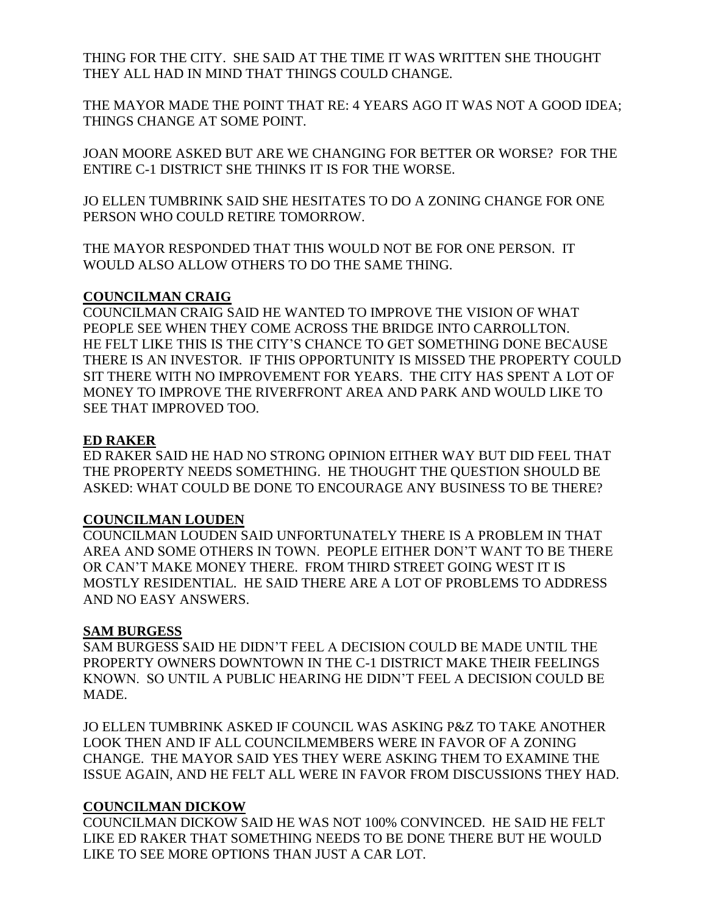THING FOR THE CITY. SHE SAID AT THE TIME IT WAS WRITTEN SHE THOUGHT THEY ALL HAD IN MIND THAT THINGS COULD CHANGE.

THE MAYOR MADE THE POINT THAT RE: 4 YEARS AGO IT WAS NOT A GOOD IDEA; THINGS CHANGE AT SOME POINT.

JOAN MOORE ASKED BUT ARE WE CHANGING FOR BETTER OR WORSE? FOR THE ENTIRE C-1 DISTRICT SHE THINKS IT IS FOR THE WORSE.

JO ELLEN TUMBRINK SAID SHE HESITATES TO DO A ZONING CHANGE FOR ONE PERSON WHO COULD RETIRE TOMORROW.

THE MAYOR RESPONDED THAT THIS WOULD NOT BE FOR ONE PERSON. IT WOULD ALSO ALLOW OTHERS TO DO THE SAME THING.

## **COUNCILMAN CRAIG**

COUNCILMAN CRAIG SAID HE WANTED TO IMPROVE THE VISION OF WHAT PEOPLE SEE WHEN THEY COME ACROSS THE BRIDGE INTO CARROLLTON. HE FELT LIKE THIS IS THE CITY'S CHANCE TO GET SOMETHING DONE BECAUSE THERE IS AN INVESTOR. IF THIS OPPORTUNITY IS MISSED THE PROPERTY COULD SIT THERE WITH NO IMPROVEMENT FOR YEARS. THE CITY HAS SPENT A LOT OF MONEY TO IMPROVE THE RIVERFRONT AREA AND PARK AND WOULD LIKE TO SEE THAT IMPROVED TOO.

### **ED RAKER**

ED RAKER SAID HE HAD NO STRONG OPINION EITHER WAY BUT DID FEEL THAT THE PROPERTY NEEDS SOMETHING. HE THOUGHT THE QUESTION SHOULD BE ASKED: WHAT COULD BE DONE TO ENCOURAGE ANY BUSINESS TO BE THERE?

## **COUNCILMAN LOUDEN**

COUNCILMAN LOUDEN SAID UNFORTUNATELY THERE IS A PROBLEM IN THAT AREA AND SOME OTHERS IN TOWN. PEOPLE EITHER DON'T WANT TO BE THERE OR CAN'T MAKE MONEY THERE. FROM THIRD STREET GOING WEST IT IS MOSTLY RESIDENTIAL. HE SAID THERE ARE A LOT OF PROBLEMS TO ADDRESS AND NO EASY ANSWERS.

## **SAM BURGESS**

SAM BURGESS SAID HE DIDN'T FEEL A DECISION COULD BE MADE UNTIL THE PROPERTY OWNERS DOWNTOWN IN THE C-1 DISTRICT MAKE THEIR FEELINGS KNOWN. SO UNTIL A PUBLIC HEARING HE DIDN'T FEEL A DECISION COULD BE MADE.

JO ELLEN TUMBRINK ASKED IF COUNCIL WAS ASKING P&Z TO TAKE ANOTHER LOOK THEN AND IF ALL COUNCILMEMBERS WERE IN FAVOR OF A ZONING CHANGE. THE MAYOR SAID YES THEY WERE ASKING THEM TO EXAMINE THE ISSUE AGAIN, AND HE FELT ALL WERE IN FAVOR FROM DISCUSSIONS THEY HAD.

## **COUNCILMAN DICKOW**

COUNCILMAN DICKOW SAID HE WAS NOT 100% CONVINCED. HE SAID HE FELT LIKE ED RAKER THAT SOMETHING NEEDS TO BE DONE THERE BUT HE WOULD LIKE TO SEE MORE OPTIONS THAN JUST A CAR LOT.